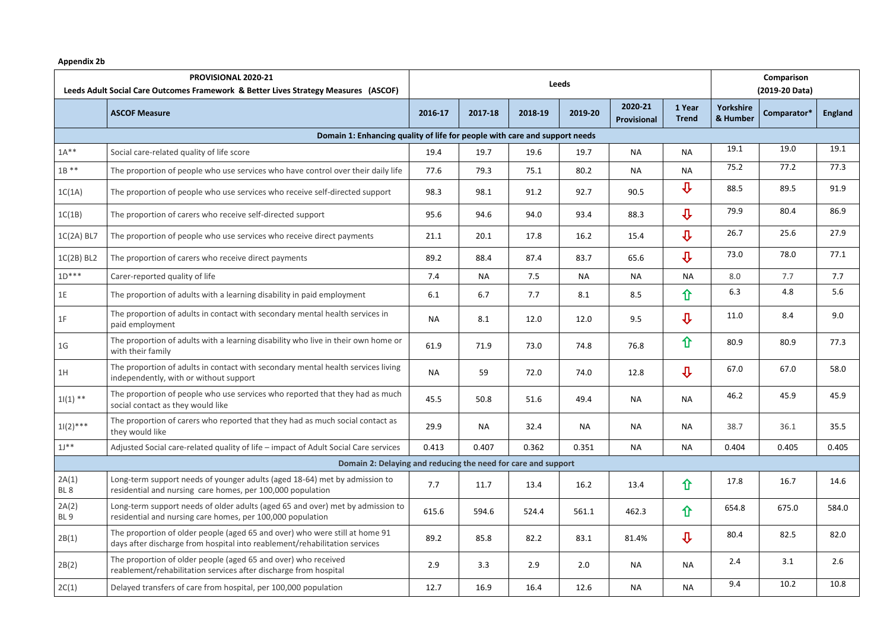## **Appendix 2b**

| PROVISIONAL 2020-21<br>Leeds Adult Social Care Outcomes Framework & Better Lives Strategy Measures (ASCOF) |                                                                                                                                                           | <b>Leeds</b> |           |         |           |                        |                         | Comparison<br>(2019-20 Data) |             |                |  |
|------------------------------------------------------------------------------------------------------------|-----------------------------------------------------------------------------------------------------------------------------------------------------------|--------------|-----------|---------|-----------|------------------------|-------------------------|------------------------------|-------------|----------------|--|
|                                                                                                            | <b>ASCOF Measure</b>                                                                                                                                      | 2016-17      | 2017-18   | 2018-19 | 2019-20   | 2020-21<br>Provisional | 1 Year<br><b>Trend</b>  | <b>Yorkshire</b><br>& Humber | Comparator* | <b>England</b> |  |
| Domain 1: Enhancing quality of life for people with care and support needs                                 |                                                                                                                                                           |              |           |         |           |                        |                         |                              |             |                |  |
| $1A***$                                                                                                    | Social care-related quality of life score                                                                                                                 | 19.4         | 19.7      | 19.6    | 19.7      | <b>NA</b>              | <b>NA</b>               | 19.1                         | 19.0        | 19.1           |  |
| $1B**$                                                                                                     | The proportion of people who use services who have control over their daily life                                                                          | 77.6         | 79.3      | 75.1    | 80.2      | <b>NA</b>              | <b>NA</b>               | 75.2                         | 77.2        | 77.3           |  |
| 1C(1A)                                                                                                     | The proportion of people who use services who receive self-directed support                                                                               | 98.3         | 98.1      | 91.2    | 92.7      | 90.5                   | $\overline{\mathbf{u}}$ | 88.5                         | 89.5        | 91.9           |  |
| 1C(1B)                                                                                                     | The proportion of carers who receive self-directed support                                                                                                | 95.6         | 94.6      | 94.0    | 93.4      | 88.3                   | $\overline{\mathbf{u}}$ | 79.9                         | 80.4        | 86.9           |  |
| $1C(2A)$ BL7                                                                                               | The proportion of people who use services who receive direct payments                                                                                     | 21.1         | 20.1      | 17.8    | 16.2      | 15.4                   | $\overline{\mathbf{u}}$ | 26.7                         | 25.6        | 27.9           |  |
| $1C(2B)$ BL2                                                                                               | The proportion of carers who receive direct payments                                                                                                      | 89.2         | 88.4      | 87.4    | 83.7      | 65.6                   | $\overline{\mathbf{u}}$ | 73.0                         | 78.0        | 77.1           |  |
| $1D***$                                                                                                    | Carer-reported quality of life                                                                                                                            | 7.4          | <b>NA</b> | 7.5     | <b>NA</b> | <b>NA</b>              | <b>NA</b>               | 8.0                          | 7.7         | 7.7            |  |
| 1E                                                                                                         | The proportion of adults with a learning disability in paid employment                                                                                    | 6.1          | 6.7       | 7.7     | 8.1       | 8.5                    | 仚                       | 6.3                          | 4.8         | 5.6            |  |
| 1F                                                                                                         | The proportion of adults in contact with secondary mental health services in<br>paid employment                                                           | <b>NA</b>    | 8.1       | 12.0    | 12.0      | 9.5                    | $\overline{\mathbf{u}}$ | 11.0                         | 8.4         | 9.0            |  |
| 1 <sub>G</sub>                                                                                             | The proportion of adults with a learning disability who live in their own home or<br>with their family                                                    | 61.9         | 71.9      | 73.0    | 74.8      | 76.8                   | 仚                       | 80.9                         | 80.9        | 77.3           |  |
| 1H                                                                                                         | The proportion of adults in contact with secondary mental health services living<br>independently, with or without support                                | <b>NA</b>    | 59        | 72.0    | 74.0      | 12.8                   | $\overline{\mathbf{u}}$ | 67.0                         | 67.0        | 58.0           |  |
| $1 (1)$ **                                                                                                 | The proportion of people who use services who reported that they had as much<br>social contact as they would like                                         | 45.5         | 50.8      | 51.6    | 49.4      | <b>NA</b>              | <b>NA</b>               | 46.2                         | 45.9        | 45.9           |  |
| $11(2)$ ***                                                                                                | The proportion of carers who reported that they had as much social contact as<br>they would like                                                          | 29.9         | <b>NA</b> | 32.4    | <b>NA</b> | <b>NA</b>              | <b>NA</b>               | 38.7                         | 36.1        | 35.5           |  |
| $1J^*$                                                                                                     | Adjusted Social care-related quality of life - impact of Adult Social Care services                                                                       | 0.413        | 0.407     | 0.362   | 0.351     | <b>NA</b>              | <b>NA</b>               | 0.404                        | 0.405       | 0.405          |  |
| Domain 2: Delaying and reducing the need for care and support                                              |                                                                                                                                                           |              |           |         |           |                        |                         |                              |             |                |  |
| 2A(1)<br>BL <sub>8</sub>                                                                                   | Long-term support needs of younger adults (aged 18-64) met by admission to<br>residential and nursing care homes, per 100,000 population                  | 7.7          | 11.7      | 13.4    | 16.2      | 13.4                   | 仚                       | 17.8                         | 16.7        | 14.6           |  |
| 2A(2)<br>BL 9                                                                                              | Long-term support needs of older adults (aged 65 and over) met by admission to<br>residential and nursing care homes, per 100,000 population              | 615.6        | 594.6     | 524.4   | 561.1     | 462.3                  | 仚                       | 654.8                        | 675.0       | 584.0          |  |
| 2B(1)                                                                                                      | The proportion of older people (aged 65 and over) who were still at home 91<br>days after discharge from hospital into reablement/rehabilitation services | 89.2         | 85.8      | 82.2    | 83.1      | 81.4%                  | $\overline{\psi}$       | 80.4                         | 82.5        | 82.0           |  |
| 2B(2)                                                                                                      | The proportion of older people (aged 65 and over) who received<br>reablement/rehabilitation services after discharge from hospital                        | 2.9          | 3.3       | 2.9     | 2.0       | <b>NA</b>              | <b>NA</b>               | 2.4                          | 3.1         | 2.6            |  |
| 2C(1)                                                                                                      | Delayed transfers of care from hospital, per 100,000 population                                                                                           | 12.7         | 16.9      | 16.4    | 12.6      | <b>NA</b>              | <b>NA</b>               | 9.4                          | 10.2        | 10.8           |  |